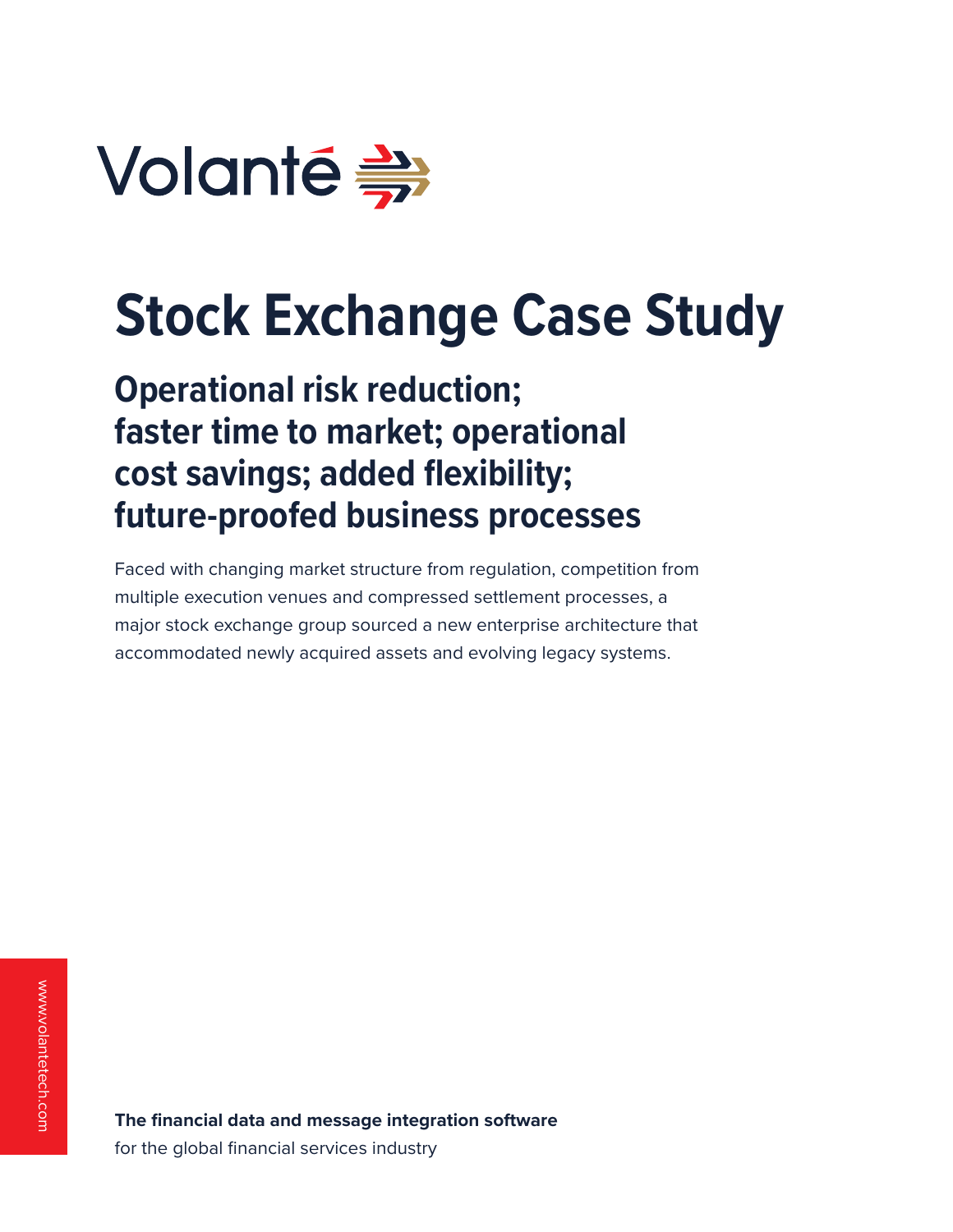

# **Stock Exchange Case Study**

**Operational risk reduction; faster time to market; operational cost savings; added flexibility; future-proofed business processes**

Faced with changing market structure from regulation, competition from multiple execution venues and compressed settlement processes, a major stock exchange group sourced a new enterprise architecture that accommodated newly acquired assets and evolving legacy systems.

**The financial data and message integration software**  for the global financial services industry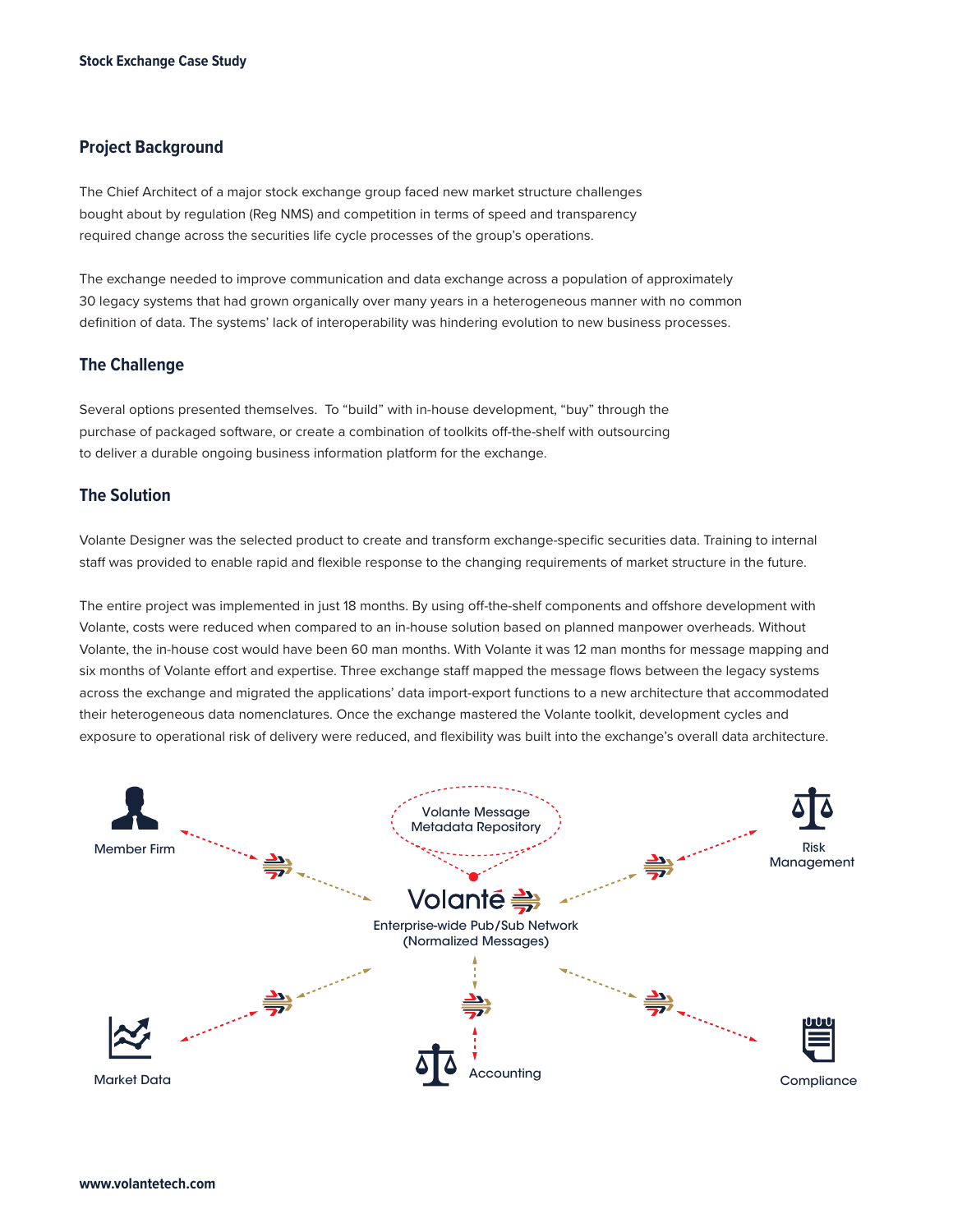## **Project Background**

The Chief Architect of a major stock exchange group faced new market structure challenges bought about by regulation (Reg NMS) and competition in terms of speed and transparency required change across the securities life cycle processes of the group's operations.

The exchange needed to improve communication and data exchange across a population of approximately 30 legacy systems that had grown organically over many years in a heterogeneous manner with no common definition of data. The systems' lack of interoperability was hindering evolution to new business processes.

#### **The Challenge**

Several options presented themselves. To "build" with in-house development, "buy" through the purchase of packaged software, or create a combination of toolkits off-the-shelf with outsourcing to deliver a durable ongoing business information platform for the exchange.

### **The Solution**

Volante Designer was the selected product to create and transform exchange-specific securities data. Training to internal staff was provided to enable rapid and flexible response to the changing requirements of market structure in the future.

The entire project was implemented in just 18 months. By using off-the-shelf components and offshore development with Volante, costs were reduced when compared to an in-house solution based on planned manpower overheads. Without Volante, the in-house cost would have been 60 man months. With Volante it was 12 man months for message mapping and six months of Volante effort and expertise. Three exchange staff mapped the message flows between the legacy systems across the exchange and migrated the applications' data import-export functions to a new architecture that accommodated their heterogeneous data nomenclatures. Once the exchange mastered the Volante toolkit, development cycles and exposure to operational risk of delivery were reduced, and flexibility was built into the exchange's overall data architecture.

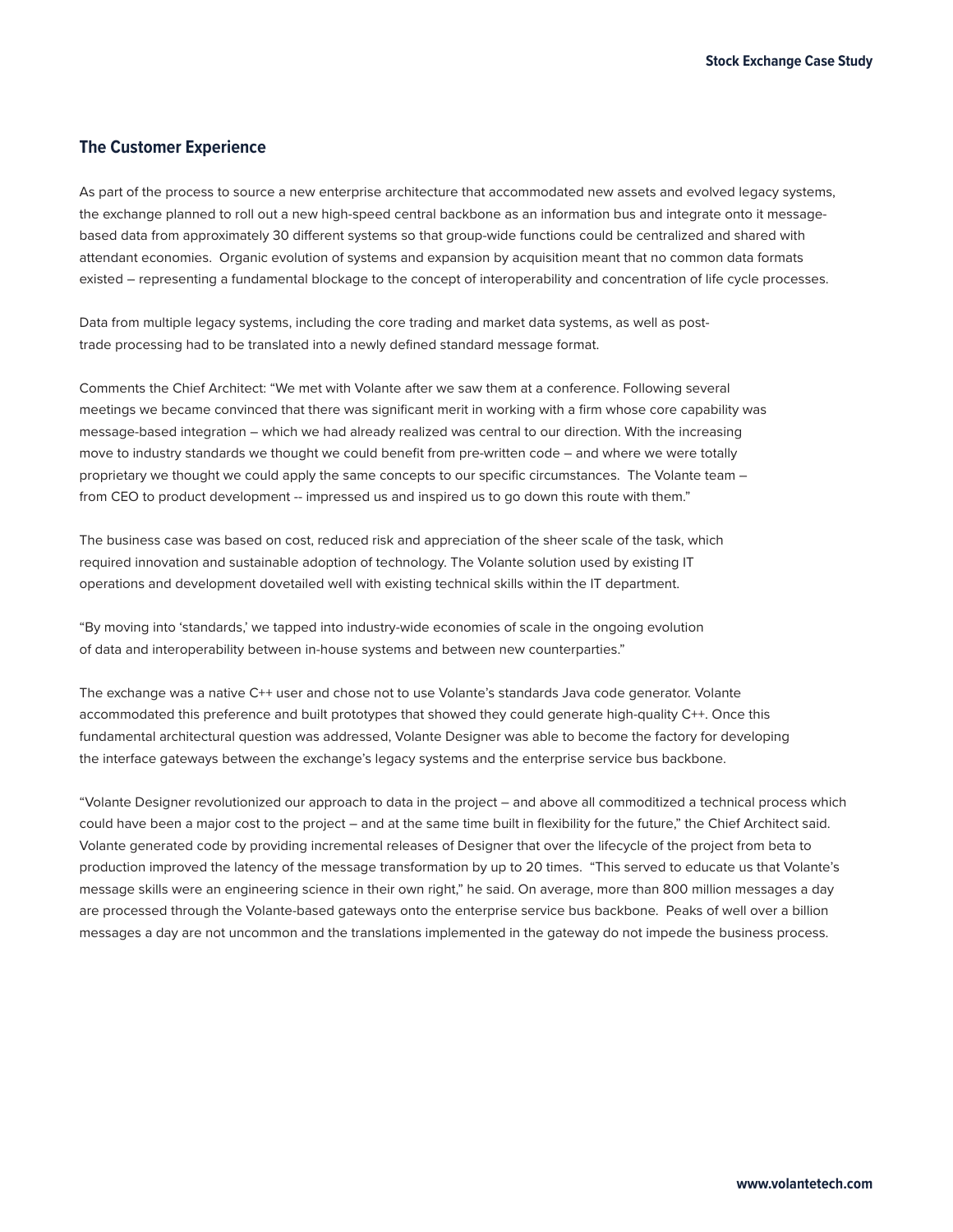# **The Customer Experience**

As part of the process to source a new enterprise architecture that accommodated new assets and evolved legacy systems, the exchange planned to roll out a new high-speed central backbone as an information bus and integrate onto it messagebased data from approximately 30 different systems so that group-wide functions could be centralized and shared with attendant economies. Organic evolution of systems and expansion by acquisition meant that no common data formats existed – representing a fundamental blockage to the concept of interoperability and concentration of life cycle processes.

Data from multiple legacy systems, including the core trading and market data systems, as well as posttrade processing had to be translated into a newly defined standard message format.

Comments the Chief Architect: "We met with Volante after we saw them at a conference. Following several meetings we became convinced that there was significant merit in working with a firm whose core capability was message-based integration – which we had already realized was central to our direction. With the increasing move to industry standards we thought we could benefit from pre-written code – and where we were totally proprietary we thought we could apply the same concepts to our specific circumstances. The Volante team – from CEO to product development -- impressed us and inspired us to go down this route with them."

The business case was based on cost, reduced risk and appreciation of the sheer scale of the task, which required innovation and sustainable adoption of technology. The Volante solution used by existing IT operations and development dovetailed well with existing technical skills within the IT department.

"By moving into 'standards,' we tapped into industry-wide economies of scale in the ongoing evolution of data and interoperability between in-house systems and between new counterparties."

The exchange was a native C++ user and chose not to use Volante's standards Java code generator. Volante accommodated this preference and built prototypes that showed they could generate high-quality C++. Once this fundamental architectural question was addressed, Volante Designer was able to become the factory for developing the interface gateways between the exchange's legacy systems and the enterprise service bus backbone.

"Volante Designer revolutionized our approach to data in the project – and above all commoditized a technical process which could have been a major cost to the project – and at the same time built in flexibility for the future," the Chief Architect said. Volante generated code by providing incremental releases of Designer that over the lifecycle of the project from beta to production improved the latency of the message transformation by up to 20 times. "This served to educate us that Volante's message skills were an engineering science in their own right," he said. On average, more than 800 million messages a day are processed through the Volante-based gateways onto the enterprise service bus backbone. Peaks of well over a billion messages a day are not uncommon and the translations implemented in the gateway do not impede the business process.